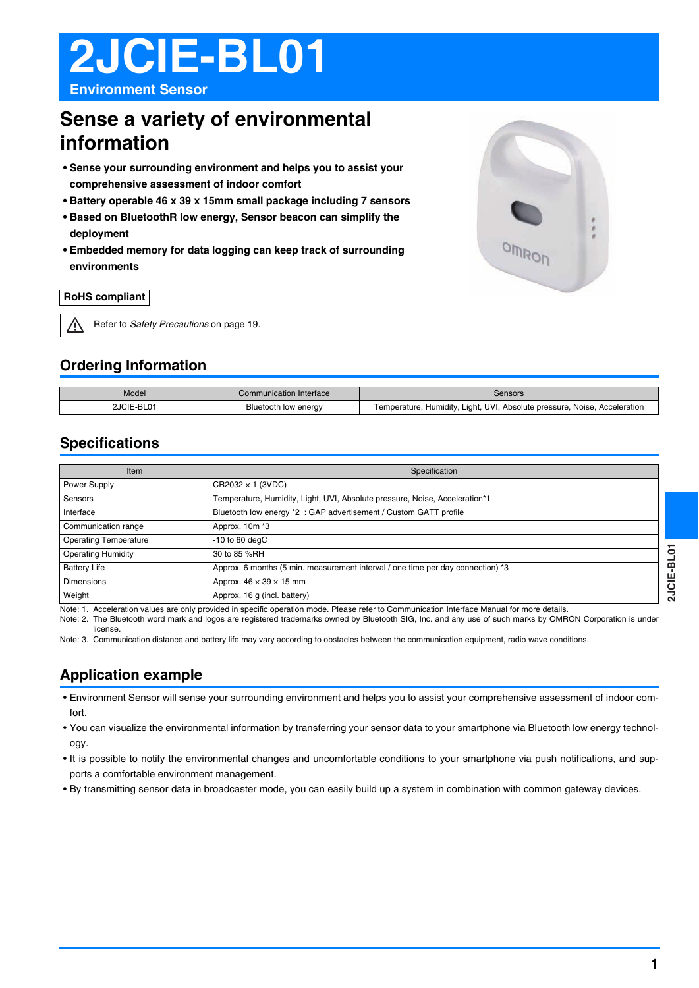# **2JCIE-BL01**

**Environment Sensor**

### **Sense a variety of environmental information**

- **Sense your surrounding environment and helps you to assist your comprehensive assessment of indoor comfort**
- **Battery operable 46 x 39 x 15mm small package including 7 sensors**
- **Based on BluetoothR low energy, Sensor beacon can simplify the deployment**
- **Embedded memory for data logging can keep track of surrounding environments**

### **RoHS compliant**

|  | Refer to Safety Precautions on page 19. |
|--|-----------------------------------------|
|--|-----------------------------------------|

### **Ordering Information**

| Model      | Communication Interface | Sensors                                                                        |
|------------|-------------------------|--------------------------------------------------------------------------------|
| 2JCIE-BL01 | Bluetooth low energy    | , Humidity, Light, UVI, Absolute pressure, Noise, Acceleration<br>Temperature. |

### **Specifications**

| Item                         | Specification                                                                   |
|------------------------------|---------------------------------------------------------------------------------|
| Power Supply                 | $CR2032 \times 1$ (3VDC)                                                        |
| Sensors                      | Temperature, Humidity, Light, UVI, Absolute pressure, Noise, Acceleration*1     |
| Interface                    | Bluetooth low energy *2 : GAP advertisement / Custom GATT profile               |
| Communication range          | Approx. 10m *3                                                                  |
| <b>Operating Temperature</b> | $-10$ to 60 degC                                                                |
| <b>Operating Humidity</b>    | 30 to 85 %RH                                                                    |
| <b>Battery Life</b>          | Approx. 6 months (5 min. measurement interval / one time per day connection) *3 |
| <b>Dimensions</b>            | Approx. $46 \times 39 \times 15$ mm                                             |
| Weight                       | Approx. 16 g (incl. battery)                                                    |

Note: 1. Acceleration values are only provided in specific operation mode. Please refer to Communication Interface Manual for more details.

Note: 2. The Bluetooth word mark and logos are registered trademarks owned by Bluetooth SIG, Inc. and any use of such marks by OMRON Corporation is under license.

Note: 3. Communication distance and battery life may vary according to obstacles between the communication equipment, radio wave conditions.

### **Application example**

- Environment Sensor will sense your surrounding environment and helps you to assist your comprehensive assessment of indoor comfort.
- You can visualize the environmental information by transferring your sensor data to your smartphone via Bluetooth low energy technology.
- It is possible to notify the environmental changes and uncomfortable conditions to your smartphone via push notifications, and supports a comfortable environment management.
- By transmitting sensor data in broadcaster mode, you can easily build up a system in combination with common gateway devices.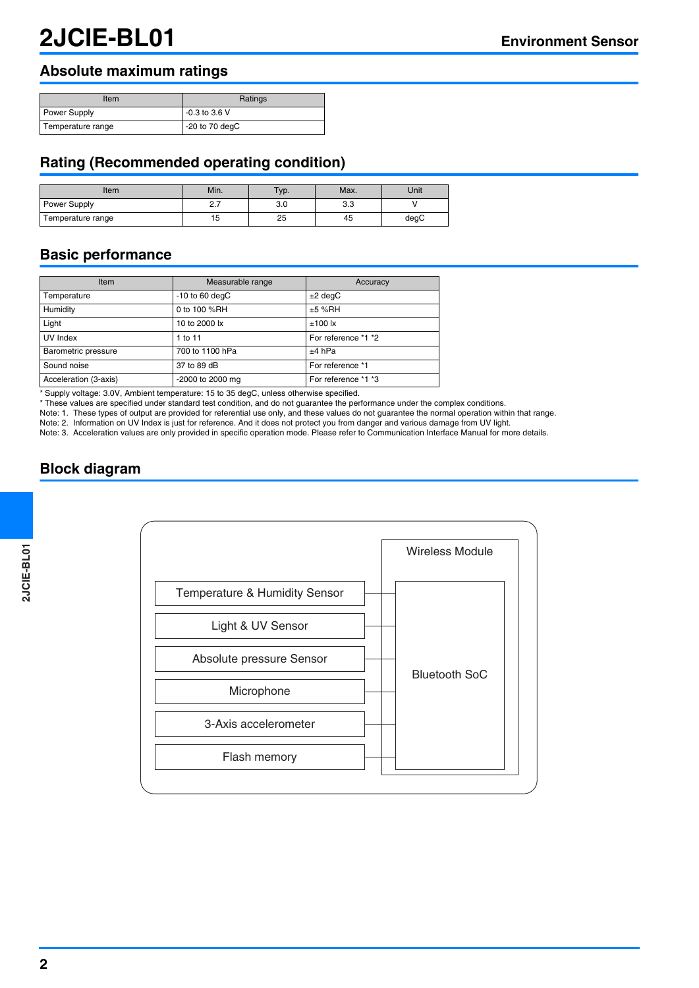### **Absolute maximum ratings**

| Item                | Ratings          |
|---------------------|------------------|
| <b>Power Supply</b> | $-0.3$ to 3.6 V  |
| Temperature range   | $-20$ to 70 degC |

### **Rating (Recommended operating condition)**

| Item              | Min.         | $TVP$ . | Max. | Unit |
|-------------------|--------------|---------|------|------|
| Power Supply      | <u>، ، ا</u> | 3.0     | ა.ა  |      |
| Temperature range | . .<br>15    | 25      | 45   | degC |

### **Basic performance**

| Item                  | Measurable range | Accuracy            |
|-----------------------|------------------|---------------------|
| Temperature           | $-10$ to 60 degC | $±2$ degC           |
| Humidity              | 0 to 100 %RH     | $±5$ %RH            |
| Light                 | 10 to 2000 lx    | $±100$ lx           |
| UV Index              | 1 to 11          | For reference *1 *2 |
| Barometric pressure   | 700 to 1100 hPa  | $+4$ hPa            |
| Sound noise           | 37 to 89 dB      | For reference *1    |
| Acceleration (3-axis) | -2000 to 2000 mg | For reference *1 *3 |

\* Supply voltage: 3.0V, Ambient temperature: 15 to 35 degC, unless otherwise specified.

\* These values are specified under standard test condition, and do not guarantee the performance under the complex conditions.

Note: 1. These types of output are provided for referential use only, and these values do not guarantee the normal operation within that range.

Note: 2. Information on UV Index is just for reference. And it does not protect you from danger and various damage from UV light.

Note: 3. Acceleration values are only provided in specific operation mode. Please refer to Communication Interface Manual for more details.

### **Block diagram**

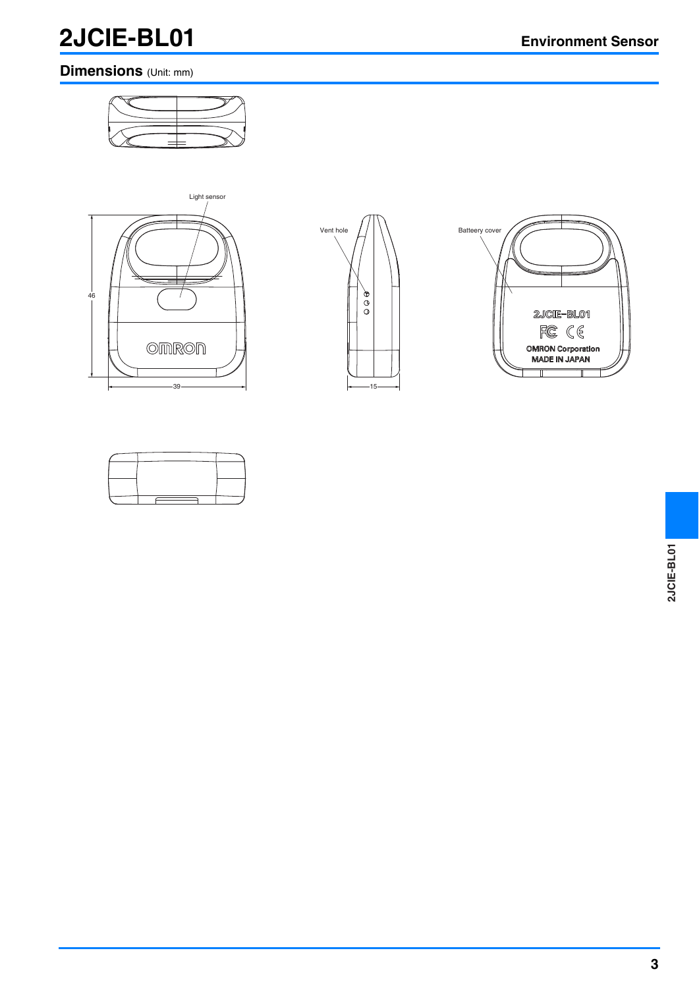### **2JCIE-BL01 Environment Sensor**

### **Dimensions** (Unit: mm)







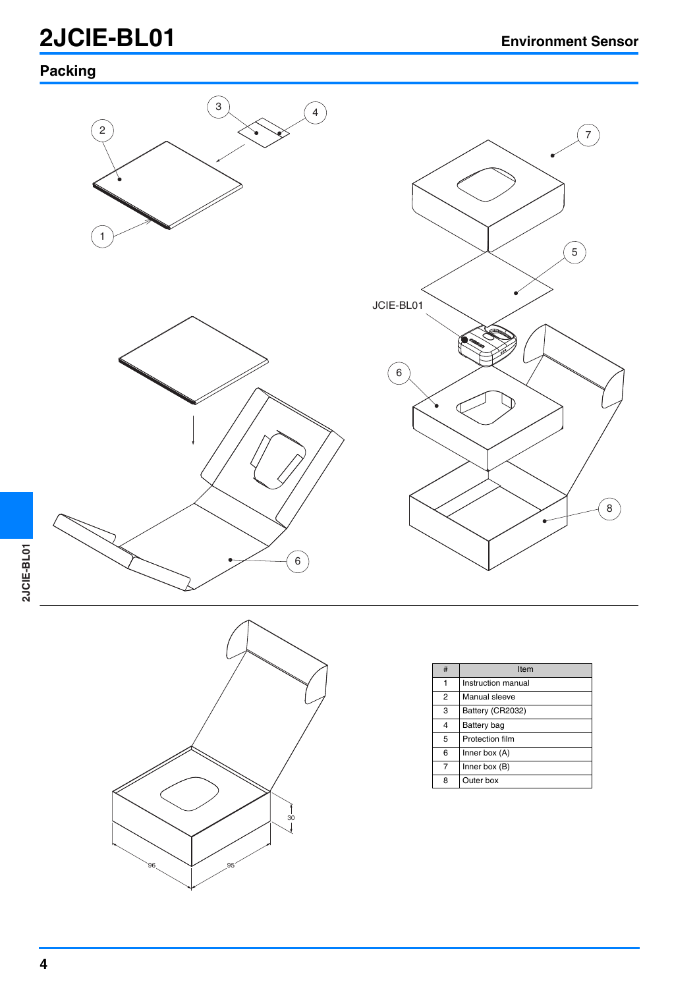## **2JCIE-BL01 Environment Sensor**

### **Packing**





| # | Item               |
|---|--------------------|
| 1 | Instruction manual |
| 2 | Manual sleeve      |
| 3 | Battery (CR2032)   |
| 4 | Battery bag        |
| 5 | Protection film    |
| 6 | Inner box $(A)$    |
| 7 | Inner box (B)      |
| 8 | Outer box          |

96 95  $\begin{matrix} 1 \\ 30 \\ 1 \end{matrix}$ 

**2JCIE-BL01**

2JCIE-BL01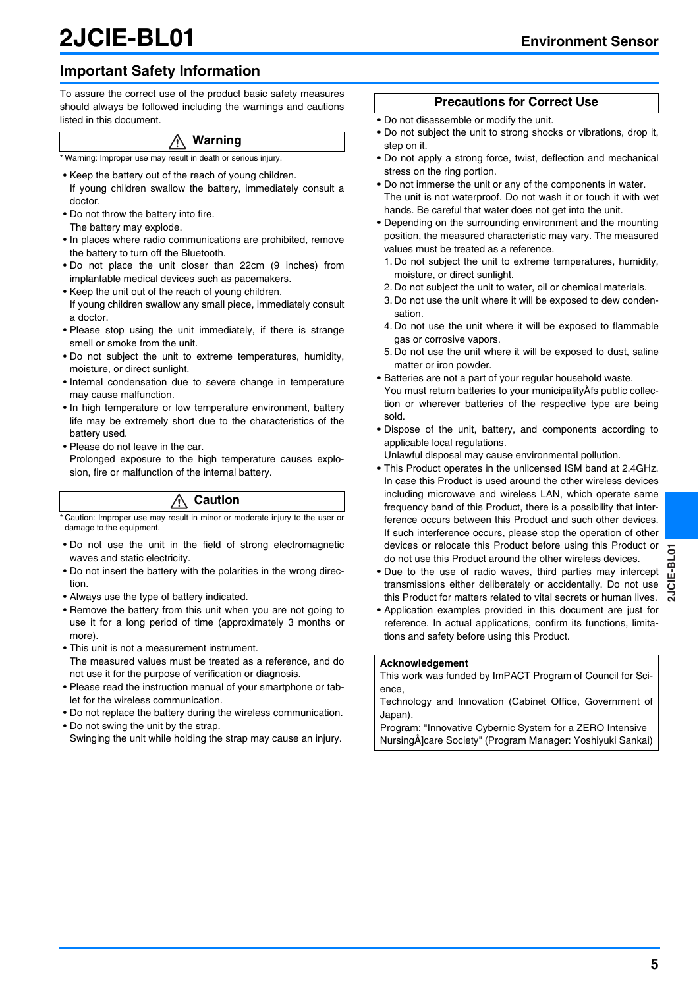## **2JCIE-BL01 Environment Sensor**

### **Important Safety Information**

To assure the correct use of the product basic safety measures should always be followed including the warnings and cautions listed in this document.

### **Warning**

\* Warning: Improper use may result in death or serious injury.

- Keep the battery out of the reach of young children. If young children swallow the battery, immediately consult a doctor.
- Do not throw the battery into fire. The battery may explode.
- In places where radio communications are prohibited, remove the battery to turn off the Bluetooth.
- Do not place the unit closer than 22cm (9 inches) from implantable medical devices such as pacemakers.
- Keep the unit out of the reach of young children. If young children swallow any small piece, immediately consult a doctor.
- Please stop using the unit immediately, if there is strange smell or smoke from the unit.
- Do not subject the unit to extreme temperatures, humidity, moisture, or direct sunlight.
- Internal condensation due to severe change in temperature may cause malfunction.
- In high temperature or low temperature environment, battery life may be extremely short due to the characteristics of the battery used.
- Please do not leave in the car.

Prolonged exposure to the high temperature causes explosion, fire or malfunction of the internal battery.

### **Caution**

Caution: Improper use may result in minor or moderate injury to the user or damage to the equipment.

- Do not use the unit in the field of strong electromagnetic waves and static electricity.
- Do not insert the battery with the polarities in the wrong direction.
- Always use the type of battery indicated.
- Remove the battery from this unit when you are not going to use it for a long period of time (approximately 3 months or more).
- This unit is not a measurement instrument. The measured values must be treated as a reference, and do not use it for the purpose of verification or diagnosis.
- Please read the instruction manual of your smartphone or tablet for the wireless communication.
- Do not replace the battery during the wireless communication.
- Do not swing the unit by the strap. Swinging the unit while holding the strap may cause an injury.

### **Precautions for Correct Use**

- Do not disassemble or modify the unit.
- Do not subject the unit to strong shocks or vibrations, drop it, step on it.
- Do not apply a strong force, twist, deflection and mechanical stress on the ring portion.
- Do not immerse the unit or any of the components in water. The unit is not waterproof. Do not wash it or touch it with wet hands. Be careful that water does not get into the unit.
- Depending on the surrounding environment and the mounting position, the measured characteristic may vary. The measured values must be treated as a reference.
	- 1. Do not subject the unit to extreme temperatures, humidity, moisture, or direct sunlight.
- 2. Do not subject the unit to water, oil or chemical materials.
- 3. Do not use the unit where it will be exposed to dew condensation.
- 4. Do not use the unit where it will be exposed to flammable gas or corrosive vapors.
- 5. Do not use the unit where it will be exposed to dust, saline matter or iron powder.
- Batteries are not a part of your regular household waste. You must return batteries to your municipalityÅfs public collection or wherever batteries of the respective type are being sold.
- Dispose of the unit, battery, and components according to applicable local regulations.
- Unlawful disposal may cause environmental pollution.
- This Product operates in the unlicensed ISM band at 2.4GHz. In case this Product is used around the other wireless devices including microwave and wireless LAN, which operate same frequency band of this Product, there is a possibility that interference occurs between this Product and such other devices. If such interference occurs, please stop the operation of other devices or relocate this Product before using this Product or do not use this Product around the other wireless devices.
- Due to the use of radio waves, third parties may intercept transmissions either deliberately or accidentally. Do not use this Product for matters related to vital secrets or human lives.
- Application examples provided in this document are just for reference. In actual applications, confirm its functions, limitations and safety before using this Product.

#### **Acknowledgement**

This work was funded by ImPACT Program of Council for Science,

Technology and Innovation (Cabinet Office, Government of Japan).

Program: "Innovative Cybernic System for a ZERO Intensive NursingÅ]care Society" (Program Manager: Yoshiyuki Sankai)